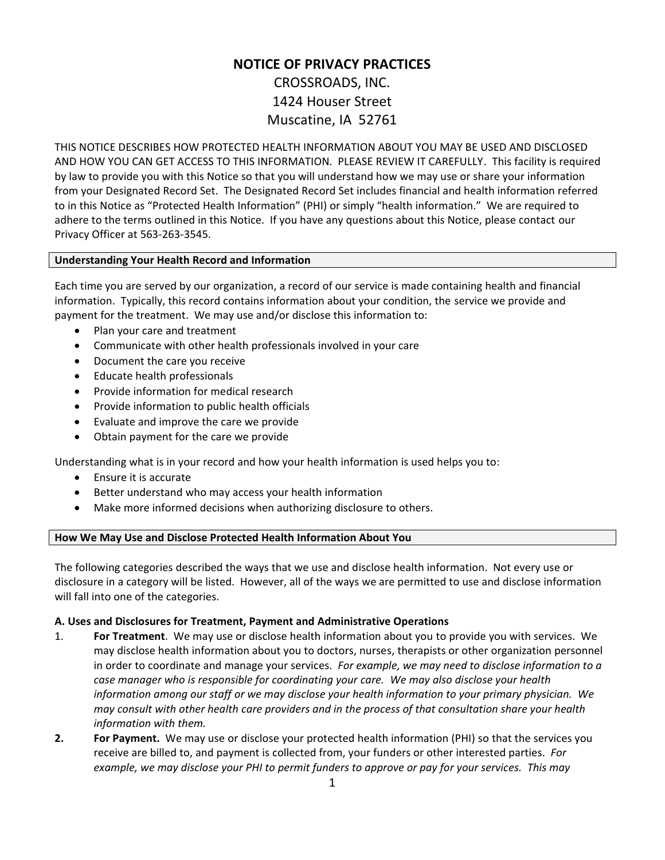# **NOTICE OF PRIVACY PRACTICES**  CROSSROADS, INC. 1424 Houser Street Muscatine, IA 52761

THIS NOTICE DESCRIBES HOW PROTECTED HEALTH INFORMATION ABOUT YOU MAY BE USED AND DISCLOSED AND HOW YOU CAN GET ACCESS TO THIS INFORMATION. PLEASE REVIEW IT CAREFULLY. This facility is required by law to provide you with this Notice so that you will understand how we may use or share your information from your Designated Record Set. The Designated Record Set includes financial and health information referred to in this Notice as "Protected Health Information" (PHI) or simply "health information." We are required to adhere to the terms outlined in this Notice. If you have any questions about this Notice, please contact our Privacy Officer at 563-263-3545.

## **Understanding Your Health Record and Information**

Each time you are served by our organization, a record of our service is made containing health and financial information. Typically, this record contains information about your condition, the service we provide and payment for the treatment. We may use and/or disclose this information to:

- Plan your care and treatment
- Communicate with other health professionals involved in your care
- Document the care you receive
- Educate health professionals
- Provide information for medical research
- Provide information to public health officials
- Evaluate and improve the care we provide
- Obtain payment for the care we provide

Understanding what is in your record and how your health information is used helps you to:

- Ensure it is accurate
- Better understand who may access your health information
- Make more informed decisions when authorizing disclosure to others.

# **How We May Use and Disclose Protected Health Information About You**

The following categories described the ways that we use and disclose health information. Not every use or disclosure in a category will be listed. However, all of the ways we are permitted to use and disclose information will fall into one of the categories.

## **A. Uses and Disclosures for Treatment, Payment and Administrative Operations**

- 1. **For Treatment**. We may use or disclose health information about you to provide you with services. We may disclose health information about you to doctors, nurses, therapists or other organization personnel in order to coordinate and manage your services. *For example, we may need to disclose information to a case manager who is responsible for coordinating your care.**We may also disclose your health information among our staff or we may disclose your health information to your primary physician. We may consult with other health care providers and in the process of that consultation share your health information with them.*
- **2. For Payment.** We may use or disclose your protected health information (PHI) so that the services you receive are billed to, and payment is collected from, your funders or other interested parties. *For example, we may disclose your PHI to permit funders to approve or pay for your services. This may*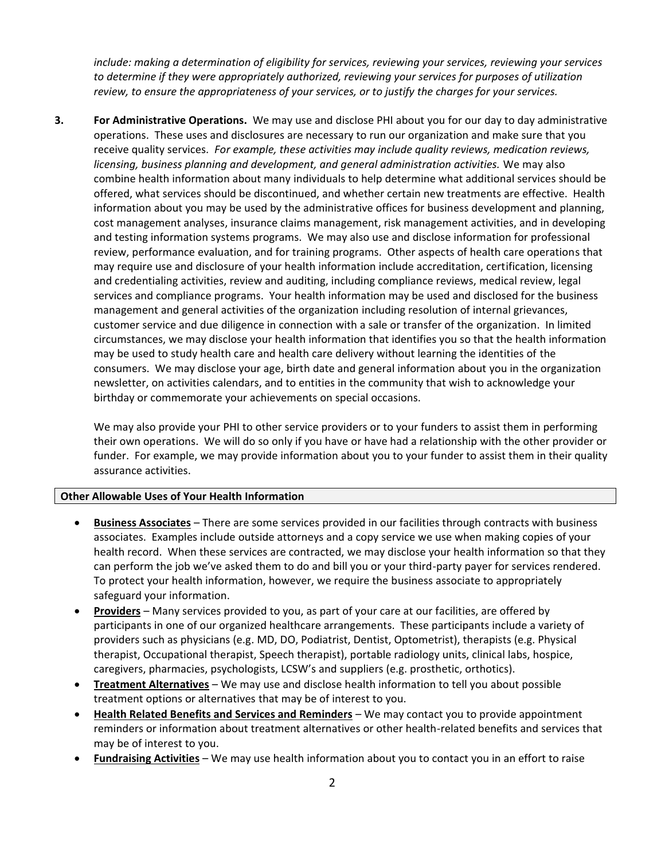*include: making a determination of eligibility for services, reviewing your services, reviewing your services to determine if they were appropriately authorized, reviewing your services for purposes of utilization review, to ensure the appropriateness of your services, or to justify the charges for your services.* 

**3. For Administrative Operations.** We may use and disclose PHI about you for our day to day administrative operations. These uses and disclosures are necessary to run our organization and make sure that you receive quality services. *For example, these activities may include quality reviews, medication reviews, licensing, business planning and development, and general administration activities.* We may also combine health information about many individuals to help determine what additional services should be offered, what services should be discontinued, and whether certain new treatments are effective. Health information about you may be used by the administrative offices for business development and planning, cost management analyses, insurance claims management, risk management activities, and in developing and testing information systems programs. We may also use and disclose information for professional review, performance evaluation, and for training programs. Other aspects of health care operations that may require use and disclosure of your health information include accreditation, certification, licensing and credentialing activities, review and auditing, including compliance reviews, medical review, legal services and compliance programs. Your health information may be used and disclosed for the business management and general activities of the organization including resolution of internal grievances, customer service and due diligence in connection with a sale or transfer of the organization. In limited circumstances, we may disclose your health information that identifies you so that the health information may be used to study health care and health care delivery without learning the identities of the consumers. We may disclose your age, birth date and general information about you in the organization newsletter, on activities calendars, and to entities in the community that wish to acknowledge your birthday or commemorate your achievements on special occasions.

We may also provide your PHI to other service providers or to your funders to assist them in performing their own operations. We will do so only if you have or have had a relationship with the other provider or funder. For example, we may provide information about you to your funder to assist them in their quality assurance activities.

#### **Other Allowable Uses of Your Health Information**

- **Business Associates** There are some services provided in our facilities through contracts with business associates. Examples include outside attorneys and a copy service we use when making copies of your health record. When these services are contracted, we may disclose your health information so that they can perform the job we've asked them to do and bill you or your third-party payer for services rendered. To protect your health information, however, we require the business associate to appropriately safeguard your information.
- **Providers** Many services provided to you, as part of your care at our facilities, are offered by participants in one of our organized healthcare arrangements. These participants include a variety of providers such as physicians (e.g. MD, DO, Podiatrist, Dentist, Optometrist), therapists (e.g. Physical therapist, Occupational therapist, Speech therapist), portable radiology units, clinical labs, hospice, caregivers, pharmacies, psychologists, LCSW's and suppliers (e.g. prosthetic, orthotics).
- **Treatment Alternatives** We may use and disclose health information to tell you about possible treatment options or alternatives that may be of interest to you.
- **Health Related Benefits and Services and Reminders** We may contact you to provide appointment reminders or information about treatment alternatives or other health-related benefits and services that may be of interest to you.
- **Fundraising Activities** We may use health information about you to contact you in an effort to raise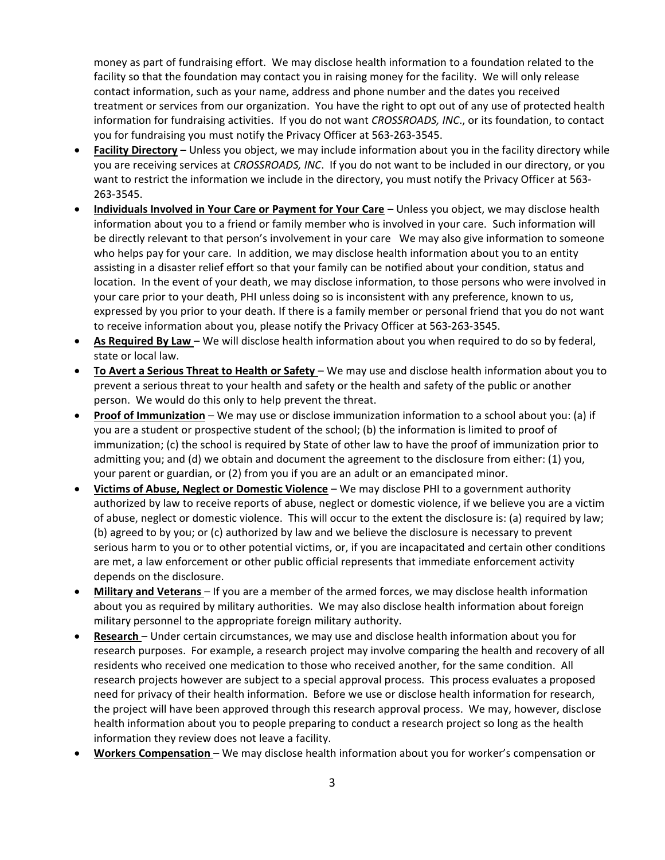money as part of fundraising effort. We may disclose health information to a foundation related to the facility so that the foundation may contact you in raising money for the facility. We will only release contact information, such as your name, address and phone number and the dates you received treatment or services from our organization. You have the right to opt out of any use of protected health information for fundraising activities. If you do not want *CROSSROADS, INC*., or its foundation, to contact you for fundraising you must notify the Privacy Officer at 563-263-3545.

- **Facility Directory** Unless you object, we may include information about you in the facility directory while you are receiving services at *CROSSROADS, INC*. If you do not want to be included in our directory, or you want to restrict the information we include in the directory, you must notify the Privacy Officer at 563- 263-3545.
- **Individuals Involved in Your Care or Payment for Your Care** Unless you object, we may disclose health information about you to a friend or family member who is involved in your care. Such information will be directly relevant to that person's involvement in your care We may also give information to someone who helps pay for your care. In addition, we may disclose health information about you to an entity assisting in a disaster relief effort so that your family can be notified about your condition, status and location. In the event of your death, we may disclose information, to those persons who were involved in your care prior to your death, PHI unless doing so is inconsistent with any preference, known to us, expressed by you prior to your death. If there is a family member or personal friend that you do not want to receive information about you, please notify the Privacy Officer at 563-263-3545.
- **As Required By Law**  We will disclose health information about you when required to do so by federal, state or local law.
- **To Avert a Serious Threat to Health or Safety**  We may use and disclose health information about you to prevent a serious threat to your health and safety or the health and safety of the public or another person. We would do this only to help prevent the threat.
- **Proof of Immunization** We may use or disclose immunization information to a school about you: (a) if you are a student or prospective student of the school; (b) the information is limited to proof of immunization; (c) the school is required by State of other law to have the proof of immunization prior to admitting you; and (d) we obtain and document the agreement to the disclosure from either: (1) you, your parent or guardian, or (2) from you if you are an adult or an emancipated minor.
- **Victims of Abuse, Neglect or Domestic Violence** We may disclose PHI to a government authority authorized by law to receive reports of abuse, neglect or domestic violence, if we believe you are a victim of abuse, neglect or domestic violence. This will occur to the extent the disclosure is: (a) required by law; (b) agreed to by you; or (c) authorized by law and we believe the disclosure is necessary to prevent serious harm to you or to other potential victims, or, if you are incapacitated and certain other conditions are met, a law enforcement or other public official represents that immediate enforcement activity depends on the disclosure.
- **Military and Veterans**  If you are a member of the armed forces, we may disclose health information about you as required by military authorities. We may also disclose health information about foreign military personnel to the appropriate foreign military authority.
- **Research**  Under certain circumstances, we may use and disclose health information about you for research purposes. For example, a research project may involve comparing the health and recovery of all residents who received one medication to those who received another, for the same condition. All research projects however are subject to a special approval process. This process evaluates a proposed need for privacy of their health information. Before we use or disclose health information for research, the project will have been approved through this research approval process. We may, however, disclose health information about you to people preparing to conduct a research project so long as the health information they review does not leave a facility.
- **Workers Compensation**  We may disclose health information about you for worker's compensation or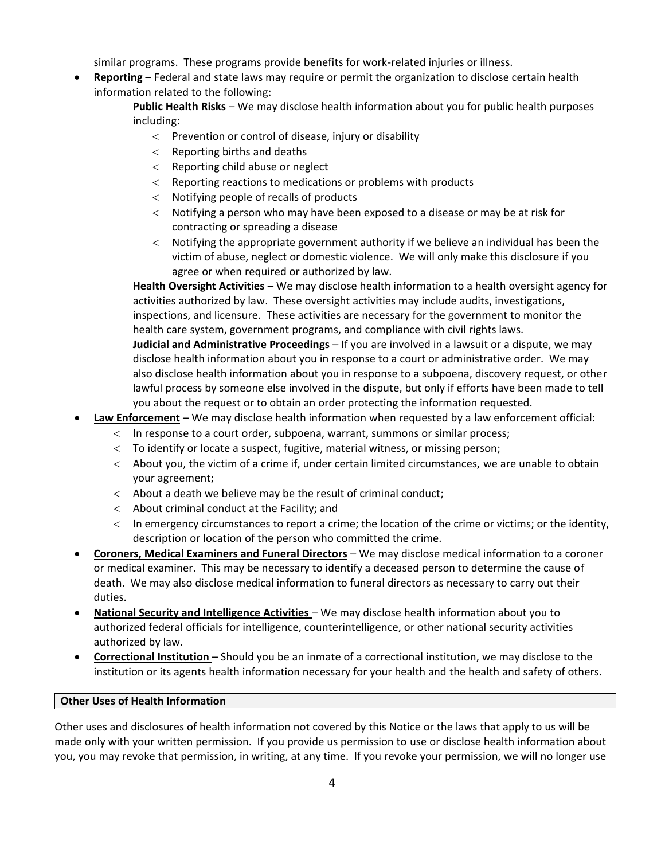similar programs. These programs provide benefits for work-related injuries or illness.

• **Reporting** – Federal and state laws may require or permit the organization to disclose certain health information related to the following:

> **Public Health Risks** – We may disclose health information about you for public health purposes including:

- $\langle$  Prevention or control of disease, injury or disability
- $\epsilon$  Reporting births and deaths
- $<$  Reporting child abuse or neglect
- $\epsilon$  Reporting reactions to medications or problems with products
- Notifying people of recalls of products
- Notifying a person who may have been exposed to a disease or may be at risk for contracting or spreading a disease
- $\langle$  Notifying the appropriate government authority if we believe an individual has been the victim of abuse, neglect or domestic violence. We will only make this disclosure if you agree or when required or authorized by law.

**Health Oversight Activities** – We may disclose health information to a health oversight agency for activities authorized by law. These oversight activities may include audits, investigations, inspections, and licensure. These activities are necessary for the government to monitor the health care system, government programs, and compliance with civil rights laws.

**Judicial and Administrative Proceedings** – If you are involved in a lawsuit or a dispute, we may disclose health information about you in response to a court or administrative order. We may also disclose health information about you in response to a subpoena, discovery request, or other lawful process by someone else involved in the dispute, but only if efforts have been made to tell you about the request or to obtain an order protecting the information requested.

- **Law Enforcement** We may disclose health information when requested by a law enforcement official:
	- In response to a court order, subpoena, warrant, summons or similar process;
	- To identify or locate a suspect, fugitive, material witness, or missing person;
	- About you, the victim of a crime if, under certain limited circumstances, we are unable to obtain your agreement;
	- $\langle$  About a death we believe may be the result of criminal conduct;
	- $\epsilon$  About criminal conduct at the Facility; and
	- In emergency circumstances to report a crime; the location of the crime or victims; or the identity, description or location of the person who committed the crime.
- **Coroners, Medical Examiners and Funeral Directors** We may disclose medical information to a coroner or medical examiner. This may be necessary to identify a deceased person to determine the cause of death. We may also disclose medical information to funeral directors as necessary to carry out their duties.
- **National Security and Intelligence Activities** We may disclose health information about you to authorized federal officials for intelligence, counterintelligence, or other national security activities authorized by law.
- **Correctional Institution**  Should you be an inmate of a correctional institution, we may disclose to the institution or its agents health information necessary for your health and the health and safety of others.

## **Other Uses of Health Information**

Other uses and disclosures of health information not covered by this Notice or the laws that apply to us will be made only with your written permission. If you provide us permission to use or disclose health information about you, you may revoke that permission, in writing, at any time. If you revoke your permission, we will no longer use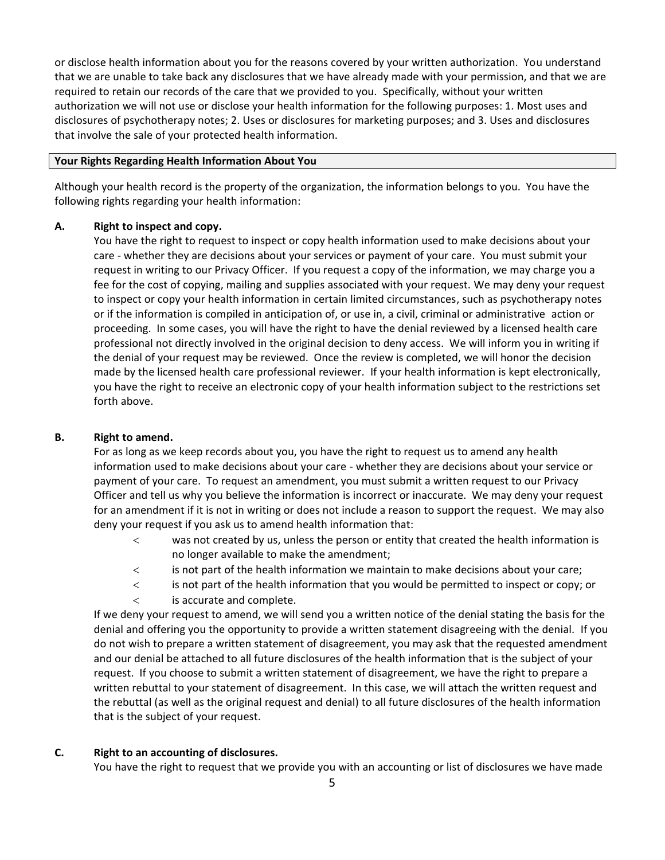or disclose health information about you for the reasons covered by your written authorization. You understand that we are unable to take back any disclosures that we have already made with your permission, and that we are required to retain our records of the care that we provided to you. Specifically, without your written authorization we will not use or disclose your health information for the following purposes: 1. Most uses and disclosures of psychotherapy notes; 2. Uses or disclosures for marketing purposes; and 3. Uses and disclosures that involve the sale of your protected health information.

#### **Your Rights Regarding Health Information About You**

Although your health record is the property of the organization, the information belongs to you. You have the following rights regarding your health information:

## **A. Right to inspect and copy.**

You have the right to request to inspect or copy health information used to make decisions about your care - whether they are decisions about your services or payment of your care. You must submit your request in writing to our Privacy Officer. If you request a copy of the information, we may charge you a fee for the cost of copying, mailing and supplies associated with your request. We may deny your request to inspect or copy your health information in certain limited circumstances, such as psychotherapy notes or if the information is compiled in anticipation of, or use in, a civil, criminal or administrative action or proceeding. In some cases, you will have the right to have the denial reviewed by a licensed health care professional not directly involved in the original decision to deny access. We will inform you in writing if the denial of your request may be reviewed. Once the review is completed, we will honor the decision made by the licensed health care professional reviewer. If your health information is kept electronically, you have the right to receive an electronic copy of your health information subject to the restrictions set forth above.

#### **B. Right to amend.**

For as long as we keep records about you, you have the right to request us to amend any health information used to make decisions about your care - whether they are decisions about your service or payment of your care. To request an amendment, you must submit a written request to our Privacy Officer and tell us why you believe the information is incorrect or inaccurate. We may deny your request for an amendment if it is not in writing or does not include a reason to support the request. We may also deny your request if you ask us to amend health information that:

- was not created by us, unless the person or entity that created the health information is no longer available to make the amendment;
- is not part of the health information we maintain to make decisions about your care;
- is not part of the health information that you would be permitted to inspect or copy; or
- is accurate and complete.

If we deny your request to amend, we will send you a written notice of the denial stating the basis for the denial and offering you the opportunity to provide a written statement disagreeing with the denial. If you do not wish to prepare a written statement of disagreement, you may ask that the requested amendment and our denial be attached to all future disclosures of the health information that is the subject of your request. If you choose to submit a written statement of disagreement, we have the right to prepare a written rebuttal to your statement of disagreement. In this case, we will attach the written request and the rebuttal (as well as the original request and denial) to all future disclosures of the health information that is the subject of your request.

## **C. Right to an accounting of disclosures.**

You have the right to request that we provide you with an accounting or list of disclosures we have made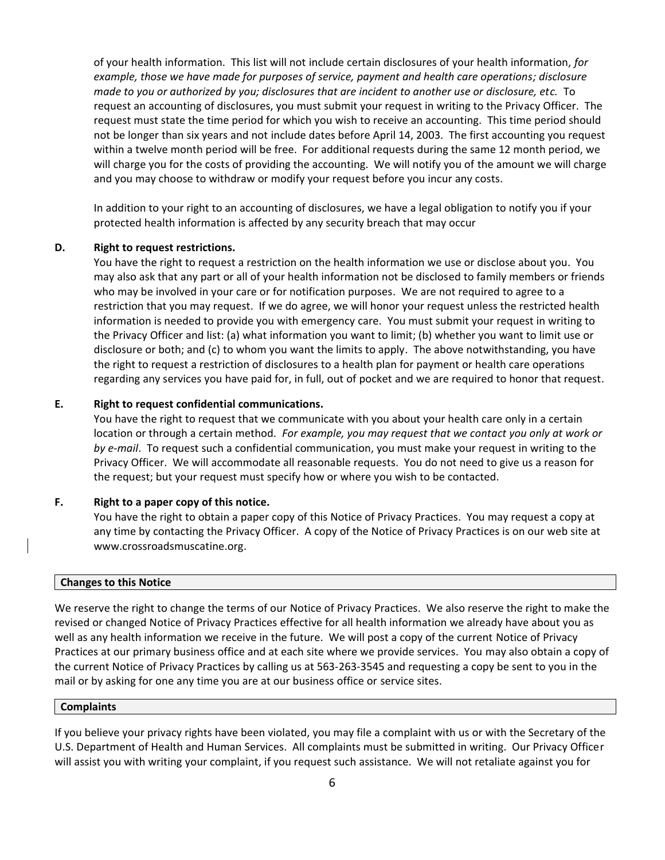of your health information. This list will not include certain disclosures of your health information, *for example, those we have made for purposes of service, payment and health care operations; disclosure made to you or authorized by you; disclosures that are incident to another use or disclosure, etc.* To request an accounting of disclosures, you must submit your request in writing to the Privacy Officer. The request must state the time period for which you wish to receive an accounting. This time period should not be longer than six years and not include dates before April 14, 2003. The first accounting you request within a twelve month period will be free. For additional requests during the same 12 month period, we will charge you for the costs of providing the accounting. We will notify you of the amount we will charge and you may choose to withdraw or modify your request before you incur any costs.

In addition to your right to an accounting of disclosures, we have a legal obligation to notify you if your protected health information is affected by any security breach that may occur

#### **D. Right to request restrictions.**

You have the right to request a restriction on the health information we use or disclose about you. You may also ask that any part or all of your health information not be disclosed to family members or friends who may be involved in your care or for notification purposes. We are not required to agree to a restriction that you may request. If we do agree, we will honor your request unless the restricted health information is needed to provide you with emergency care. You must submit your request in writing to the Privacy Officer and list: (a) what information you want to limit; (b) whether you want to limit use or disclosure or both; and (c) to whom you want the limits to apply. The above notwithstanding, you have the right to request a restriction of disclosures to a health plan for payment or health care operations regarding any services you have paid for, in full, out of pocket and we are required to honor that request.

## **E. Right to request confidential communications.**

You have the right to request that we communicate with you about your health care only in a certain location or through a certain method. *For example, you may request that we contact you only at work or by e-mail*. To request such a confidential communication, you must make your request in writing to the Privacy Officer. We will accommodate all reasonable requests. You do not need to give us a reason for the request; but your request must specify how or where you wish to be contacted.

#### **F. Right to a paper copy of this notice.**

You have the right to obtain a paper copy of this Notice of Privacy Practices. You may request a copy at any time by contacting the Privacy Officer. A copy of the Notice of Privacy Practices is on our web site at www.crossroadsmuscatine.org.

#### **Changes to this Notice**

We reserve the right to change the terms of our Notice of Privacy Practices. We also reserve the right to make the revised or changed Notice of Privacy Practices effective for all health information we already have about you as well as any health information we receive in the future. We will post a copy of the current Notice of Privacy Practices at our primary business office and at each site where we provide services. You may also obtain a copy of the current Notice of Privacy Practices by calling us at 563-263-3545 and requesting a copy be sent to you in the mail or by asking for one any time you are at our business office or service sites.

#### **Complaints**

If you believe your privacy rights have been violated, you may file a complaint with us or with the Secretary of the U.S. Department of Health and Human Services. All complaints must be submitted in writing. Our Privacy Officer will assist you with writing your complaint, if you request such assistance. We will not retaliate against you for